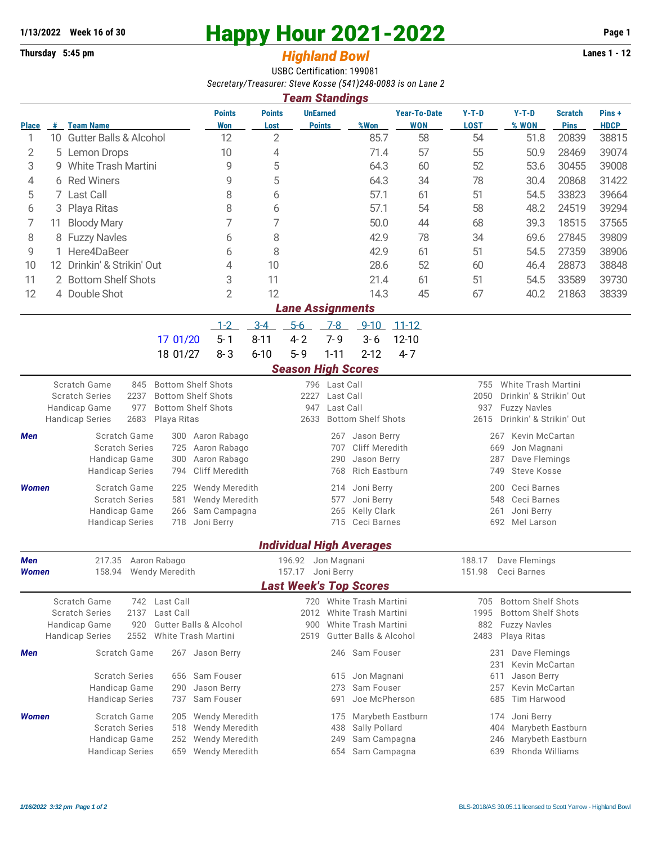## **1/13/2022** Week 16 of 30<br> **Happy Hour 2021-2022** Page 1<br> **Highland Rowl** Lanes 1 - 12<br>
Lanes 1 - 12

## **Thursday 5:45 pm** *Highland Bowl*

USBC Certification: 199081 *Secretary/Treasurer: Steve Kosse (541)248-0083 is on Lane 2*

| <b>Team Standings</b>         |                                  |                                                                                                    |                                  |                                                       |                                  |                             |                                                |                                     |                                                               |                                                        |                               |                      |  |  |
|-------------------------------|----------------------------------|----------------------------------------------------------------------------------------------------|----------------------------------|-------------------------------------------------------|----------------------------------|-----------------------------|------------------------------------------------|-------------------------------------|---------------------------------------------------------------|--------------------------------------------------------|-------------------------------|----------------------|--|--|
| <b>Place</b>                  | #                                | <b>Team Name</b>                                                                                   | <b>Points</b><br>Won             | <b>Points</b><br>Lost                                 | <b>UnEarned</b><br><b>Points</b> |                             | %Won                                           | <b>Year-To-Date</b><br><b>WON</b>   | $Y-T-D$<br><b>LOST</b>                                        | $Y-T-D$<br>% WON                                       | <b>Scratch</b><br><b>Pins</b> | Pins+<br><b>HDCP</b> |  |  |
| 1                             |                                  | 10 Gutter Balls & Alcohol                                                                          | 12                               | $\overline{2}$                                        |                                  |                             | 85.7                                           | 58                                  | 54                                                            | 51.8                                                   | 20839                         | 38815                |  |  |
| 2                             | 5                                | <b>Lemon Drops</b>                                                                                 | 10                               | 4                                                     |                                  |                             | 71.4                                           | 57                                  | 55                                                            | 50.9                                                   | 28469                         | 39074                |  |  |
| 3                             | <b>White Trash Martini</b><br>9. |                                                                                                    | 9                                | 5                                                     |                                  |                             | 64.3                                           | 60                                  | 52                                                            | 53.6                                                   | 30455                         | 39008                |  |  |
| 4                             | <b>Red Winers</b><br>6           |                                                                                                    | 9                                | 5                                                     |                                  |                             | 64.3                                           | 34                                  | 78                                                            | 30.4                                                   | 20868                         | 31422                |  |  |
| 5                             |                                  | 7 Last Call                                                                                        | 8                                | 6                                                     |                                  |                             | 57.1                                           | 61                                  | 51                                                            | 54.5                                                   | 33823                         | 39664                |  |  |
| 6                             | 3                                | Playa Ritas                                                                                        | 8                                | 6                                                     |                                  |                             | 57.1                                           | 54                                  | 58                                                            | 48.2                                                   | 24519                         | 39294                |  |  |
| 7                             | 11                               | <b>Bloody Mary</b>                                                                                 | 7                                | 7                                                     |                                  |                             | 50.0                                           | 44                                  | 68                                                            | 39.3                                                   | 18515                         | 37565                |  |  |
| 8                             | 8                                | <b>Fuzzy Navles</b>                                                                                | 6                                | 8                                                     |                                  |                             | 42.9                                           | 78                                  | 34                                                            | 69.6                                                   | 27845                         | 39809                |  |  |
| 9                             |                                  | Here4DaBeer                                                                                        | 6                                | 8                                                     |                                  |                             | 42.9                                           | 61                                  | 51                                                            | 54.5                                                   | 27359                         | 38906                |  |  |
| 10                            |                                  | 12 Drinkin' & Strikin' Out                                                                         | 4                                | 10                                                    |                                  |                             | 28.6                                           | 52                                  | 60                                                            | 46.4                                                   | 28873                         | 38848                |  |  |
| 11                            |                                  | 2 Bottom Shelf Shots                                                                               | 3                                | 11                                                    |                                  |                             | 21.4                                           | 61                                  | 51                                                            | 54.5                                                   | 33589                         | 39730                |  |  |
| 12                            |                                  | 4 Double Shot                                                                                      | $\overline{2}$                   | 12                                                    |                                  |                             | 14.3                                           | 45                                  | 67                                                            | 40.2                                                   | 21863                         | 38339                |  |  |
| <b>Lane Assignments</b>       |                                  |                                                                                                    |                                  |                                                       |                                  |                             |                                                |                                     |                                                               |                                                        |                               |                      |  |  |
|                               |                                  |                                                                                                    | $1 - 2$                          | $3 - 4$                                               | $5-6$                            | $7-8$                       | $9 - 10$                                       | $11 - 12$                           |                                                               |                                                        |                               |                      |  |  |
|                               |                                  | 17 01/20                                                                                           | $5 - 1$                          | $8 - 11$                                              | $4 - 2$                          | $7 - 9$                     | $3-6$                                          | $12 - 10$                           |                                                               |                                                        |                               |                      |  |  |
|                               |                                  | 18 01/27                                                                                           | $8 - 3$                          | $6 - 10$                                              | $5 - 9$                          | $1 - 11$                    | $2 - 12$                                       | $4 - 7$                             |                                                               |                                                        |                               |                      |  |  |
|                               | <b>Season High Scores</b>        |                                                                                                    |                                  |                                                       |                                  |                             |                                                |                                     |                                                               |                                                        |                               |                      |  |  |
|                               |                                  | Scratch Game<br><b>Bottom Shelf Shots</b><br>845                                                   |                                  |                                                       |                                  | 796 Last Call               |                                                |                                     | 755                                                           | White Trash Martini                                    |                               |                      |  |  |
|                               |                                  | 2237<br><b>Bottom Shelf Shots</b><br><b>Scratch Series</b>                                         |                                  |                                                       | 2227                             | Last Call                   |                                                |                                     | 2050<br>Drinkin' & Strikin' Out                               |                                                        |                               |                      |  |  |
|                               |                                  | Handicap Game<br>977<br><b>Bottom Shelf Shots</b><br><b>Handicap Series</b><br>2683<br>Playa Ritas |                                  | Last Call<br>947<br>2633<br><b>Bottom Shelf Shots</b> |                                  |                             |                                                |                                     | 937<br><b>Fuzzy Navles</b><br>Drinkin' & Strikin' Out<br>2615 |                                                        |                               |                      |  |  |
| Men                           |                                  | Scratch Game<br>300                                                                                | Aaron Rabago                     |                                                       |                                  | 267                         | Jason Berry                                    |                                     |                                                               | Kevin McCartan                                         |                               |                      |  |  |
|                               |                                  | <b>Scratch Series</b><br>725                                                                       | Aaron Rabago                     |                                                       |                                  | 707                         | Cliff Meredith                                 |                                     | 267<br>669<br>Jon Magnani                                     |                                                        |                               |                      |  |  |
|                               |                                  | Handicap Game<br>300                                                                               | Aaron Rabago                     |                                                       | 290<br>Jason Berry               |                             |                                                | 287<br>Dave Flemings                |                                                               |                                                        |                               |                      |  |  |
|                               |                                  | <b>Handicap Series</b><br>794                                                                      | <b>Cliff Meredith</b>            |                                                       |                                  | <b>Rich Eastburn</b><br>768 |                                                |                                     | <b>Steve Kosse</b><br>749                                     |                                                        |                               |                      |  |  |
| <b>Women</b>                  |                                  | Scratch Game<br>225                                                                                | Wendy Meredith                   |                                                       |                                  | 214                         | Joni Berry                                     |                                     | Ceci Barnes<br>200                                            |                                                        |                               |                      |  |  |
|                               |                                  | <b>Scratch Series</b><br>581                                                                       | <b>Wendy Meredith</b>            |                                                       |                                  | 577                         | Joni Berry                                     |                                     |                                                               | Ceci Barnes<br>548                                     |                               |                      |  |  |
|                               |                                  | Handicap Game<br>266                                                                               | Sam Campagna<br>Joni Berry       |                                                       |                                  | 265<br>715                  | <b>Kelly Clark</b><br>Ceci Barnes              |                                     | Joni Berry<br>261<br>692 Mel Larson                           |                                                        |                               |                      |  |  |
|                               |                                  | <b>Handicap Series</b><br>718                                                                      |                                  |                                                       |                                  |                             |                                                |                                     |                                                               |                                                        |                               |                      |  |  |
|                               |                                  |                                                                                                    |                                  |                                                       |                                  |                             | <b>Individual High Averages</b>                |                                     |                                                               |                                                        |                               |                      |  |  |
| 217.35 Aaron Rabago<br>Men    |                                  |                                                                                                    |                                  | 196.92 Jon Magnani                                    |                                  |                             |                                                |                                     | 188.17 Dave Flemings                                          |                                                        |                               |                      |  |  |
| Women                         |                                  | Wendy Meredith<br>158.94                                                                           |                                  |                                                       | 157.17 Joni Berry                |                             |                                                |                                     |                                                               | 151.98<br>Ceci Barnes                                  |                               |                      |  |  |
| <b>Last Week's Top Scores</b> |                                  |                                                                                                    |                                  |                                                       |                                  |                             |                                                |                                     |                                                               |                                                        |                               |                      |  |  |
|                               |                                  | Scratch Game<br>Last Call<br>742<br>Last Call<br><b>Scratch Series</b><br>2137                     |                                  |                                                       |                                  |                             | 720 White Trash Martini<br>White Trash Martini |                                     | 705<br>1995                                                   | <b>Bottom Shelf Shots</b><br><b>Bottom Shelf Shots</b> |                               |                      |  |  |
|                               |                                  | <b>Gutter Balls &amp; Alcohol</b><br>Handicap Game<br>920                                          |                                  |                                                       | 2012<br>900                      |                             | White Trash Martini                            |                                     | 882                                                           | <b>Fuzzy Navles</b>                                    |                               |                      |  |  |
|                               |                                  | <b>Handicap Series</b><br>2552<br><b>White Trash Martini</b>                                       |                                  |                                                       | 2519                             |                             | <b>Gutter Balls &amp; Alcohol</b>              |                                     | 2483                                                          | Playa Ritas                                            |                               |                      |  |  |
| Men                           |                                  | Scratch Game<br>267 Jason Berry                                                                    |                                  |                                                       |                                  |                             | 246 Sam Fouser                                 |                                     |                                                               | Dave Flemings<br>231                                   |                               |                      |  |  |
|                               |                                  |                                                                                                    |                                  |                                                       |                                  |                             |                                                |                                     |                                                               | 231<br>Kevin McCartan                                  |                               |                      |  |  |
|                               |                                  | <b>Scratch Series</b><br>656                                                                       | Sam Fouser                       | 615                                                   |                                  |                             | Jon Magnani                                    |                                     | Jason Berry<br>611<br>Kevin McCartan                          |                                                        |                               |                      |  |  |
|                               |                                  | Handicap Game<br>290                                                                               | Jason Berry                      |                                                       |                                  | 273                         | Sam Fouser                                     |                                     | 257                                                           |                                                        |                               |                      |  |  |
|                               |                                  | <b>Handicap Series</b><br>737                                                                      | Sam Fouser                       |                                                       |                                  | 691                         |                                                | Joe McPherson<br>Tim Harwood<br>685 |                                                               |                                                        |                               |                      |  |  |
| Women                         |                                  | Scratch Game<br>205                                                                                | <b>Wendy Meredith</b>            |                                                       |                                  | 175                         |                                                | Marybeth Eastburn                   | Joni Berry<br>174                                             |                                                        |                               |                      |  |  |
|                               |                                  | <b>Scratch Series</b><br>518                                                                       | Wendy Meredith                   |                                                       | 438                              | Sally Pollard               |                                                | Marybeth Eastburn<br>404            |                                                               |                                                        |                               |                      |  |  |
|                               |                                  | Handicap Game<br>252<br><b>Handicap Series</b><br>659                                              | Wendy Meredith<br>Wendy Meredith |                                                       |                                  | 249<br>654                  | Sam Campagna<br>Sam Campagna                   |                                     | Marybeth Eastburn<br>246<br>Rhonda Williams<br>639            |                                                        |                               |                      |  |  |
|                               |                                  |                                                                                                    |                                  |                                                       |                                  |                             |                                                |                                     |                                                               |                                                        |                               |                      |  |  |